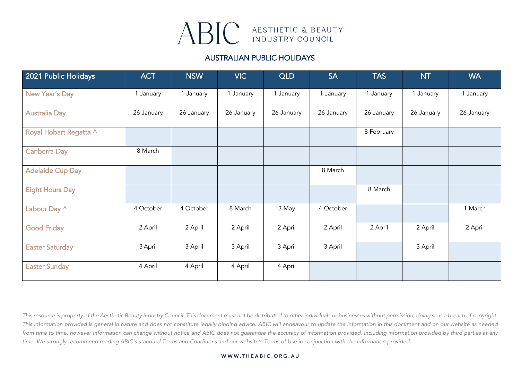

### AUSTRALIAN PUBLIC HOLIDAYS

| 2021 Public Holidays    | <b>ACT</b> | <b>NSW</b> | <b>VIC</b> | <b>QLD</b> | <b>SA</b>  | <b>TAS</b> | <b>NT</b>  | <b>WA</b>  |
|-------------------------|------------|------------|------------|------------|------------|------------|------------|------------|
| New Year's Day          | 1 January  | 1 January  | 1 January  | 1 January  | 1 January  | 1 January  | 1 January  | 1 January  |
| <b>Australia Day</b>    | 26 January | 26 January | 26 January | 26 January | 26 January | 26 January | 26 January | 26 January |
| Royal Hobart Regatta ^  |            |            |            |            |            | 8 February |            |            |
| <b>Canberra Day</b>     | 8 March    |            |            |            |            |            |            |            |
| <b>Adelaide Cup Day</b> |            |            |            |            | 8 March    |            |            |            |
| <b>Eight Hours Day</b>  |            |            |            |            |            | 8 March    |            |            |
| Labour Day ^            | 4 October  | 4 October  | 8 March    | 3 May      | 4 October  |            |            | 1 March    |
| <b>Good Friday</b>      | 2 April    | 2 April    | 2 April    | 2 April    | 2 April    | 2 April    | 2 April    | 2 April    |
| <b>Easter Saturday</b>  | 3 April    | 3 April    | 3 April    | 3 April    | 3 April    |            | 3 April    |            |
| <b>Easter Sunday</b>    | 4 April    | 4 April    | 4 April    | 4 April    |            |            |            |            |

*This resource is property of the Aesthetic Beauty Industry Council. This document must not be distributed to other individuals or businesses without permission, doing so is a breach of copyright. This information provided is general in nature and does not constitute legally binding advice. ABIC will endeavour to update the information in this document and on our website as needed from time to time, however information can change without notice and ABIC does not guarantee the accuracy of information provided, including information provided by third parties at any time. We strongly recommend reading ABIC's standard Terms and Conditions and our website's Terms of Use in conjunction with the information provided.*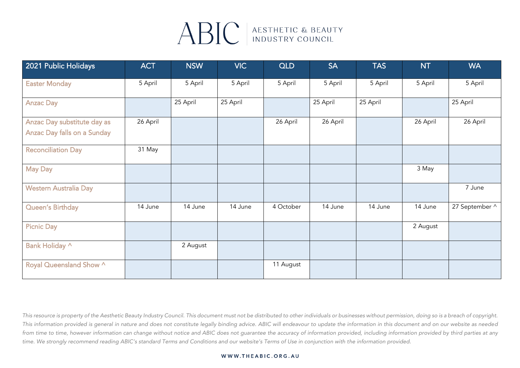## ABIC AESTHETIC & BEAUTY

| 2021 Public Holidays                                                     | <b>ACT</b> | <b>NSW</b> | <b>VIC</b> | <b>QLD</b> | <b>SA</b> | <b>TAS</b> | <b>NT</b> | <b>WA</b>      |
|--------------------------------------------------------------------------|------------|------------|------------|------------|-----------|------------|-----------|----------------|
| <b>Easter Monday</b>                                                     | 5 April    | 5 April    | 5 April    | 5 April    | 5 April   | 5 April    | 5 April   | 5 April        |
| <b>Anzac Day</b>                                                         |            | 25 April   | 25 April   |            | 25 April  | 25 April   |           | 25 April       |
| <b>Anzac Day substitute day as</b><br><b>Anzac Day falls on a Sunday</b> | 26 April   |            |            | 26 April   | 26 April  |            | 26 April  | 26 April       |
| <b>Reconciliation Day</b>                                                | 31 May     |            |            |            |           |            |           |                |
| <b>May Day</b>                                                           |            |            |            |            |           |            | 3 May     |                |
| <b>Western Australia Day</b>                                             |            |            |            |            |           |            |           | 7 June         |
| <b>Queen's Birthday</b>                                                  | 14 June    | 14 June    | 14 June    | 4 October  | 14 June   | 14 June    | 14 June   | 27 September ^ |
| <b>Picnic Day</b>                                                        |            |            |            |            |           |            | 2 August  |                |
| Bank Holiday ^                                                           |            | 2 August   |            |            |           |            |           |                |
| Royal Queensland Show ^                                                  |            |            |            | 11 August  |           |            |           |                |

*This resource is property of the Aesthetic Beauty Industry Council. This document must not be distributed to other individuals or businesses without permission, doing so is a breach of copyright. This information provided is general in nature and does not constitute legally binding advice. ABIC will endeavour to update the information in this document and on our website as needed from time to time, however information can change without notice and ABIC does not guarantee the accuracy of information provided, including information provided by third parties at any time. We strongly recommend reading ABIC's standard Terms and Conditions and our website's Terms of Use in conjunction with the information provided.*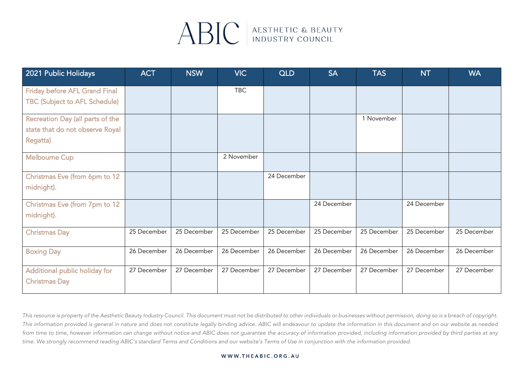# ABIC ALSTHETIC & BEAUTY

| 2021 Public Holidays                 | <b>ACT</b>  | <b>NSW</b>  | <b>VIC</b>  | <b>QLD</b>  | <b>SA</b>   | <b>TAS</b>  | <b>NT</b>   | <b>WA</b>   |
|--------------------------------------|-------------|-------------|-------------|-------------|-------------|-------------|-------------|-------------|
| <b>Friday before AFL Grand Final</b> |             |             | <b>TBC</b>  |             |             |             |             |             |
| <b>TBC (Subject to AFL Schedule)</b> |             |             |             |             |             |             |             |             |
| Recreation Day (all parts of the     |             |             |             |             |             | 1 November  |             |             |
| state that do not observe Royal      |             |             |             |             |             |             |             |             |
| Regatta)                             |             |             |             |             |             |             |             |             |
| <b>Melbourne Cup</b>                 |             |             | 2 November  |             |             |             |             |             |
| Christmas Eve (from 6pm to 12        |             |             |             | 24 December |             |             |             |             |
| midnight).                           |             |             |             |             |             |             |             |             |
| Christmas Eve (from 7pm to 12        |             |             |             |             | 24 December |             | 24 December |             |
| midnight).                           |             |             |             |             |             |             |             |             |
| <b>Christmas Day</b>                 | 25 December | 25 December | 25 December | 25 December | 25 December | 25 December | 25 December | 25 December |
| <b>Boxing Day</b>                    | 26 December | 26 December | 26 December | 26 December | 26 December | 26 December | 26 December | 26 December |
| Additional public holiday for        | 27 December | 27 December | 27 December | 27 December | 27 December | 27 December | 27 December | 27 December |
| <b>Christmas Day</b>                 |             |             |             |             |             |             |             |             |

*This resource is property of the Aesthetic Beauty Industry Council. This document must not be distributed to other individuals or businesses without permission, doing so is a breach of copyright. This information provided is general in nature and does not constitute legally binding advice. ABIC will endeavour to update the information in this document and on our website as needed from time to time, however information can change without notice and ABIC does not guarantee the accuracy of information provided, including information provided by third parties at any time. We strongly recommend reading ABIC's standard Terms and Conditions and our website's Terms of Use in conjunction with the information provided.*